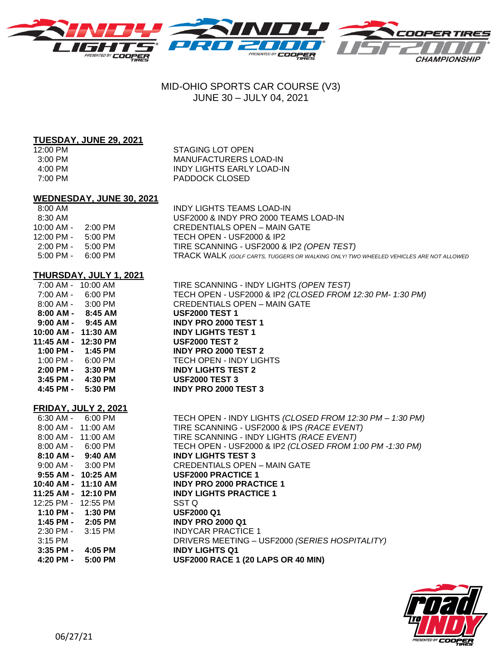

# MID-OHIO SPORTS CAR COURSE (V3) JUNE 30 – JULY 04, 2021

#### **TUESDAY, JUNE 29, 2021**

12:00 PM STAGING LOT OPEN 3:00 PM MANUFACTURERS LOAD-IN 4:00 PM INDY LIGHTS EARLY LOAD-IN 7:00 PM PADDOCK CLOSED

### **WEDNESDAY, JUNE 30, 2021**

| $8:00 \text{ AM}$   |           | INDY LIGHTS TEAMS LOAD-IN                                                                    |
|---------------------|-----------|----------------------------------------------------------------------------------------------|
| $8:30$ AM           |           | USF2000 & INDY PRO 2000 TEAMS LOAD-IN                                                        |
| $10:00$ AM -        | $2:00$ PM | CREDENTIALS OPEN – MAIN GATE                                                                 |
| $12:00$ PM -        | $5:00$ PM | TECH OPEN - USF2000 & IP2                                                                    |
| $2:00 \text{ PM} -$ | $5:00$ PM | TIRE SCANNING - USF2000 & IP2 (OPEN TEST)                                                    |
| $5:00 \text{ PM} -$ | 6:00 PM   | <b>TRACK WALK</b> (GOLF CARTS, TUGGERS OR WALKING ONLY! TWO WHEELED VEHICLES ARE NOT ALLOWED |
|                     |           |                                                                                              |

CREDENTIALS OPEN – MAIN GATE

7:00 AM - 10:00 AM TIRE SCANNING - INDY LIGHTS *(OPEN TEST)*

7:00 AM - 6:00 PM TECH OPEN - USF2000 & IP2 *(CLOSED FROM 12:30 PM- 1:30 PM)*

## **THURSDAY, JULY 1, 2021**

| $7:00 AM -$ | $10:00$ AM |
|-------------|------------|
| $7:00$ AM - | 6:00 PM    |
| $8:00$ AM - | $3:00$ PM  |
| $8:00$ AM - | $8:45$ AM  |
| $9:00$ AM - | $9:45$ AM  |
| 10:00 AM -  | 11:30 AM   |
| 11:45 AM -  | 12:30 PM   |
| 1:00 PM -   | 1:45 PM    |
| $1:00$ PM - | 6:00 PM    |
| 2:00 PM -   | $3:30$ PM  |
| 3:45 PM -   | 4:30 PM    |
| 4:45 PM -   | 5:30 PM    |

**TECH OPEN - INDY LIGHTS 2:00 PM - 3:30 PM INDY LIGHTS TEST 2 3:45 PM - 4:30 PM USF2000 TEST 3 4:45 PM - 5:30 PM INDY PRO 2000 TEST 3**

 **8:00 AM - 8:45 AM USF2000 TEST 1 9:00 AM - 9:45 AM INDY PRO 2000 TEST 1 10:00 AM - 11:30 AM INDY LIGHTS TEST 1 11:45 AM - 12:30 PM USF2000 TEST 2 1:00 PM - 1:45 PM INDY PRO 2000 TEST 2**

#### **FRIDAY, JULY 2, 2021**

|                       | 6:30 AM - 6:00 PM | TECH OPEN - INDY LIGHTS (CLOSED FROM 12:30 PM - 1:30 PM) |
|-----------------------|-------------------|----------------------------------------------------------|
| 8:00 AM - 11:00 AM    |                   | TIRE SCANNING - USF2000 & IPS (RACE EVENT)               |
| 8:00 AM - 11:00 AM    |                   | TIRE SCANNING - INDY LIGHTS (RACE EVENT)                 |
| 8:00 AM - 6:00 PM     |                   | TECH OPEN - USF2000 & IP2 (CLOSED FROM 1:00 PM -1:30 PM) |
| $8:10$ AM - $9:40$ AM |                   | <b>INDY LIGHTS TEST 3</b>                                |
| $9:00$ AM - $3:00$ PM |                   | CREDENTIALS OPEN - MAIN GATE                             |
| 9:55 AM - 10:25 AM    |                   | <b>USF2000 PRACTICE 1</b>                                |
| 10:40 AM - 11:10 AM   |                   | <b>INDY PRO 2000 PRACTICE 1</b>                          |
| 11:25 AM - 12:10 PM   |                   | <b>INDY LIGHTS PRACTICE 1</b>                            |
| 12:25 PM - 12:55 PM   |                   | SST Q                                                    |
| $1:10$ PM - $1:30$ PM |                   | <b>USF2000 Q1</b>                                        |
| 1:45 PM - 2:05 PM     |                   | <b>INDY PRO 2000 Q1</b>                                  |
| 2:30 PM - 3:15 PM     |                   | <b>INDYCAR PRACTICE 1</b>                                |
| 3:15 PM               |                   | DRIVERS MEETING - USF2000 (SERIES HOSPITALITY)           |
| $3:35$ PM -           | 4:05 PM           | <b>INDY LIGHTS Q1</b>                                    |
| 4:20 PM -             | $5:00$ PM         | <b>USF2000 RACE 1 (20 LAPS OR 40 MIN)</b>                |
|                       |                   |                                                          |